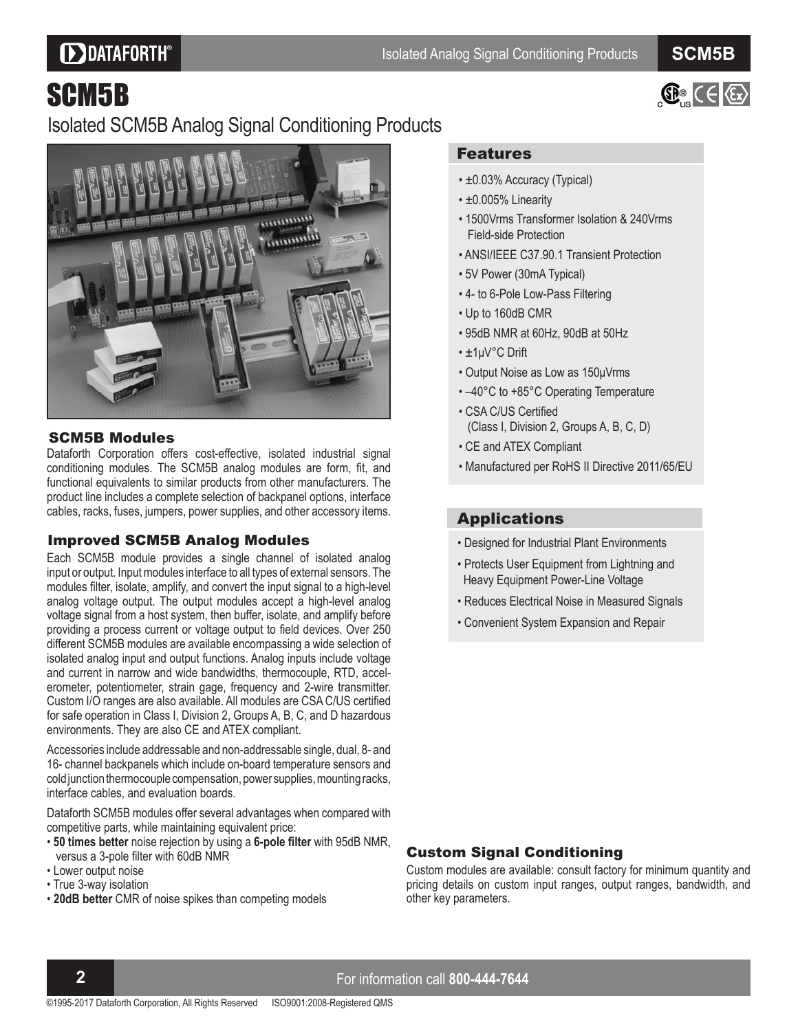# **DDATAFORTH®**

SCM5B

# **S C M 5 B**



# Isolated SCM5B Analog Signal Conditioning Products



## SCM5B Modules

Dataforth Corporation offers cost-effective, isolated industrial signal conditioning modules. The SCM5B analog modules are form, fit, and functional equivalents to similar products from other manufacturers. The product line includes a complete selection of backpanel options, interface cables, racks, fuses, jumpers, power supplies, and other accessory items.

## Improved SCM5B Analog Modules

Each SCM5B module provides a single channel of isolated analog input or output. Input modules interface to all types of external sensors. The modules filter, isolate, amplify, and convert the input signal to a high-level analog voltage output. The output modules accept a high-level analog voltage signal from a host system, then buffer, isolate, and amplify before providing a process current or voltage output to field devices. Over different SCM5B modules are available encompassing a wide selection of isolated analog input and output functions. Analog inputs include voltage and current in narrow and wide bandwidths, thermocouple, RTD, accelerometer, potentiometer, strain gage, frequency and 2-wire transmitter. Custom I/O ranges are also available. All modules are CSA C/US certified for safe operation in Class I, Division 2, Groups A, B, C, and D hazardous environments. They are also CE and ATEX compliant.

Accessories include addressable and non-addressable single, dual, 8- and 16- channel backpanels which include on-board temperature sensors and cold junction thermocouple compensation, power supplies, mounting racks, interface cables, and evaluation boards.

Dataforth SCM5B modules offer several advantages when compared with competitive parts, while maintaining equivalent price:

- 50 times better noise rejection by using a 6-pole filter with 95dB NMR, versus a 3-pole filter with 60dB NMR
- Lower output noise
- True 3-way isolation
- **20dB better** CMR of noise spikes than competing models

### Features

- ±0.03% Accuracy (Typical)
- $\cdot$  ±0.005% Linearity
- 1500Vrms Transformer Isolation & 240Vrms Field-side Protection
- ANSI/IEEE C37.90.1 Transient Protection
- 5V Power (30mA Typical)
- 4- to 6-Pole Low-Pass Filtering
- Up to 160dB CMR
- 95dB NMR at 60Hz, 90dB at 50Hz
- •±1uV°C Drift
- Output Noise as Low as 150µVrms
- $\cdot$  -40°C to +85°C Operating Temperature
- CSA C/US Certified (Class I, Division 2, Groups A, B, C, D)
- CE and ATEX Compliant
- Manufactured per RoHS II Directive 2011/65/EU

## Applications

- Designed for Industrial Plant Environments
- Protects User Equipment from Lightning and Heavy Equipment Power-Line Voltage
- Reduces Electrical Noise in Measured Signals
- Convenient System Expansion and Repair

## Custom Signal Conditioning

Custom modules are available: consult factory for minimum quantity and pricing details on custom input ranges, output ranges, bandwidth, and other key parameters.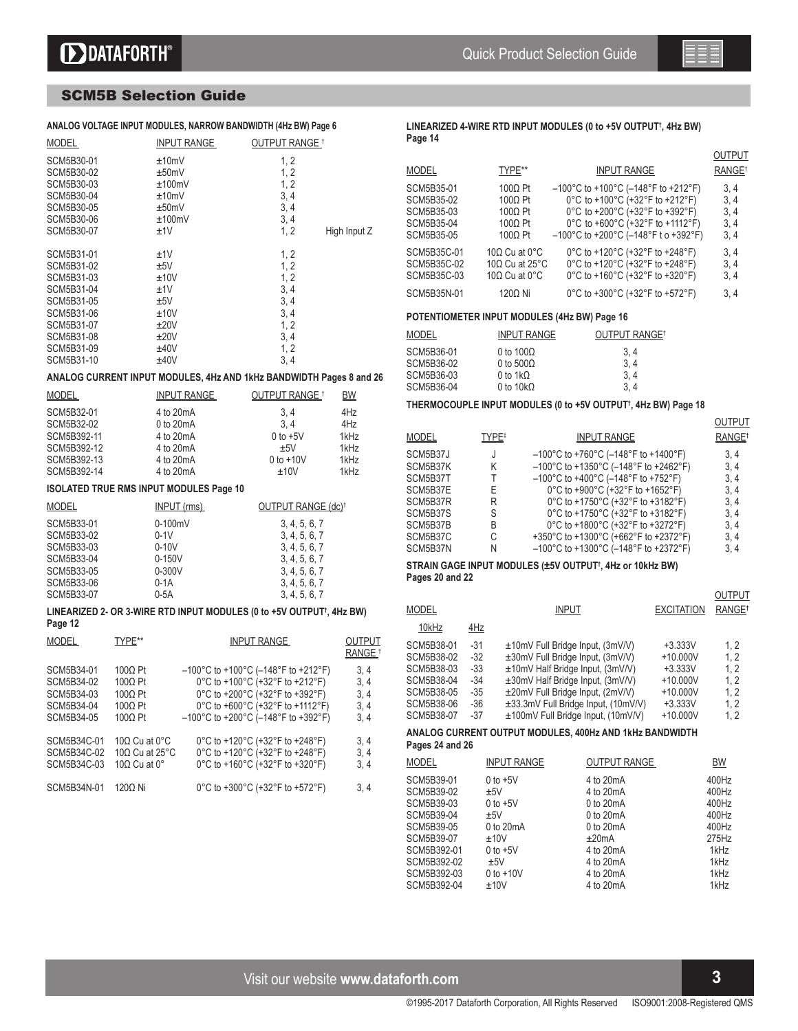### SCM5B Selection Guide

### **ANALOG VOLTAGE INPUT MODULES, NARROW BANDWIDTH (4Hz BW) Page 6**

| MODEL                                                            | <b>INPUT RANGE</b> | OUTPUT RANGE <sup>T</sup> |              |
|------------------------------------------------------------------|--------------------|---------------------------|--------------|
| SCM5B30-01                                                       | ±10mV              | 1, 2                      |              |
| SCM5B30-02                                                       | ±50mV              | 1, 2                      |              |
| SCM5B30-03                                                       | ±100mV             | 1, 2                      |              |
| SCM5B30-04                                                       | ±10mV              | 3, 4                      |              |
| SCM5B30-05                                                       | ±50mV              | 3, 4                      |              |
| SCM5B30-06                                                       | ±100mV             | 3, 4                      |              |
| SCM5B30-07                                                       | ±1V                | 1, 2                      | High Input Z |
|                                                                  |                    |                           |              |
| SCM5B31-01                                                       | ±1V                | 1, 2                      |              |
| SCM5B31-02                                                       | ±5V                | 1, 2                      |              |
| SCM5B31-03                                                       | ±10V               | 1, 2                      |              |
| SCM5B31-04                                                       | ±1V                | 3, 4                      |              |
| SCM5B31-05                                                       | ±5V                | 3, 4                      |              |
| SCM5B31-06                                                       | ±10V               | 3, 4                      |              |
| SCM5B31-07                                                       | ±20V               | 1, 2                      |              |
| SCM5B31-08                                                       | ±20V               | 3, 4                      |              |
| SCM5B31-09                                                       | ±40V               | 1, 2                      |              |
| SCM5B31-10                                                       | ±40V               | 3, 4                      |              |
| AMALOO OUDDENT INDUT MODULEO, 411, AND 4111, DAMBIATURE  O.  JOC |                    |                           |              |

### **ANALOG CURRENT INPUT MODULES, 4Hz AND 1kHz BANDWIDTH Pages 8 and 26**

| MODEL       | <b>INPUT RANGE</b> | OUTPUT RANGE <sup>1</sup> | ВW              |
|-------------|--------------------|---------------------------|-----------------|
| SCM5B32-01  | 4 to 20mA          | 3.4                       | 4H <sub>7</sub> |
| SCM5B32-02  | $0$ to $20mA$      | 3.4                       | 4Hz             |
| SCM5B392-11 | 4 to 20mA          | $0$ to $+5V$              | 1kHz            |
| SCM5B392-12 | 4 to 20mA          | ±5V                       | 1kHz            |
| SCM5B392-13 | 4 to 20mA          | $0$ to $+10V$             | 1kHz            |
| SCM5B392-14 | 4 to 20mA          | ±10V                      | 1kHz            |

#### **ISOLATED TRUE RMS INPUT MODULES Page 10**

| <b>MODEL</b> | $INPUT$ (rms) | OUTPUT RANGE (dc) <sup>t</sup> |
|--------------|---------------|--------------------------------|
| SCM5B33-01   | $0-100$ m $V$ | 3, 4, 5, 6, 7                  |
| SCM5B33-02   | $0 - 1V$      | 3, 4, 5, 6, 7                  |
| SCM5B33-03   | $0-10V$       | 3, 4, 5, 6, 7                  |
| SCM5B33-04   | $0 - 150V$    | 3, 4, 5, 6, 7                  |
| SCM5B33-05   | $0 - 300V$    | 3, 4, 5, 6, 7                  |
| SCM5B33-06   | $0-1A$        | 3, 4, 5, 6, 7                  |
| SCM5B33-07   | $0-5A$        | 3, 4, 5, 6, 7                  |

#### **LINEARIZED 2- OR 3-WIRE RTD INPUT MODULES (0 to +5V OUTPUT† , 4Hz BW) Page 12**

| MODEL       | TYPE**                   | <b>INPUT RANGE</b>                                                             | <b>OUTPUT</b><br>RANGE <sup>1</sup> |
|-------------|--------------------------|--------------------------------------------------------------------------------|-------------------------------------|
| SCM5B34-01  | $100\Omega$ Pt           | $-100^{\circ}$ C to +100 $^{\circ}$ C (-148 $^{\circ}$ F to +212 $^{\circ}$ F) | 3.4                                 |
| SCM5B34-02  | $100\Omega$ Pt           | 0°C to +100°C (+32°F to +212°F)                                                | 3.4                                 |
| SCM5B34-03  | $100\Omega$ Pt           | 0°C to +200°C (+32°F to +392°F)                                                | 3, 4                                |
| SCM5B34-04  | $100\Omega$ Pt           | 0°C to +600°C (+32°F to +1112°F)                                               | 3, 4                                |
| SCM5B34-05  | $100\Omega$ Pt           | $-100^{\circ}$ C to +200 $^{\circ}$ C (-148 $^{\circ}$ F to +392 $^{\circ}$ F) | 3.4                                 |
| SCM5B34C-01 | $10\Omega$ Cu at 0°C     | 0°C to +120°C (+32°F to +248°F)                                                | 3.4                                 |
| SCM5B34C-02 | 100 Cu at $25^{\circ}$ C | 0°C to +120°C (+32°F to +248°F)                                                | 3.4                                 |
| SCM5B34C-03 | 100 Cu at $0^\circ$      | 0°C to +160°C (+32°F to +320°F)                                                | 3.4                                 |
| SCM5B34N-01 | 120Ω Ni                  | 0°C to +300°C (+32°F to +572°F)                                                | 3, 4                                |

#### **LINEARIZED 4-WIRE RTD INPUT MODULES (0 to +5V OUTPUT† , 4Hz BW) Page 14**

|                                                                    |                                                                                        |                                                                                                                                                                                                                                                                             | <b>OUTPUT</b>                     |
|--------------------------------------------------------------------|----------------------------------------------------------------------------------------|-----------------------------------------------------------------------------------------------------------------------------------------------------------------------------------------------------------------------------------------------------------------------------|-----------------------------------|
| <b>MODEL</b>                                                       | TYPE**                                                                                 | <b>INPUT RANGE</b>                                                                                                                                                                                                                                                          | RANGE <sup>+</sup>                |
| SCM5B35-01<br>SCM5B35-02<br>SCM5B35-03<br>SCM5B35-04<br>SCM5B35-05 | $100\Omega$ Pt<br>$100\Omega$ Pt<br>$100\Omega$ Pt<br>$100\Omega$ Pt<br>$100\Omega$ Pt | $-100^{\circ}$ C to +100 $^{\circ}$ C (-148 $^{\circ}$ F to +212 $^{\circ}$ F)<br>0°C to +100°C (+32°F to +212°F)<br>0°C to +200°C (+32°F to +392°F)<br>0°C to +600°C (+32°F to +1112°F)<br>$-100^{\circ}$ C to +200 $^{\circ}$ C (-148 $^{\circ}$ F t o +392 $^{\circ}$ F) | 3.4<br>3.4<br>3, 4<br>3, 4<br>3.4 |
| SCM5B35C-01<br>SCM5B35C-02<br>SCM5B35C-03                          | $10\Omega$ Cu at 0°C<br>$10\Omega$ Cu at 25°C<br>$10\Omega$ Cu at $0^{\circ}$ C        | 0°C to +120°C (+32°F to +248°F)<br>0°C to +120°C (+32°F to +248°F)<br>0°C to +160°C (+32°F to +320°F)                                                                                                                                                                       | 3.4<br>3.4<br>3, 4                |
| SCM5B35N-01                                                        | 1200 Ni                                                                                | 0°C to +300°C (+32°F to +572°F)                                                                                                                                                                                                                                             | 3.4                               |

#### **POTENTIOMETER INPUT MODULES (4Hz BW) Page 16**

| <b>INPUT RANGE</b> | <b>OUTPUT RANGE</b> |
|--------------------|---------------------|
| 0 to $100\Omega$   | 3.4                 |
| 0 to 500 $\Omega$  | 3.4                 |
| $0$ to 1k $0$      | 3.4                 |
| 0 to $10k\Omega$   | 3.4                 |
|                    |                     |

#### **THERMOCOUPLE INPUT MODULES (0 to +5V OUTPUT† , 4Hz BW) Page 18**

|                      |                   |                                                                                                                                   | <b>OUTPUT</b>      |
|----------------------|-------------------|-----------------------------------------------------------------------------------------------------------------------------------|--------------------|
| MODEL                | TYPE <sup>#</sup> | <b>INPUT RANGE</b>                                                                                                                | RANGE <sup>+</sup> |
| SCM5B37J<br>SCM5B37K | J                 | $-100^{\circ}$ C to +760 $^{\circ}$ C (-148 $^{\circ}$ F to +1400 $^{\circ}$ F)                                                   | 3, 4               |
| SCM5B37T             | K                 | $-100^{\circ}$ C to +1350°C (-148°F to +2462°F)<br>$-100^{\circ}$ C to +400 $^{\circ}$ C (-148 $^{\circ}$ F to +752 $^{\circ}$ F) | 3, 4<br>3, 4       |
| SCM5B37E             | F.                | 0°C to +900°C (+32°F to +1652°F)                                                                                                  | 3, 4               |
| SCM5B37R             | R                 | 0°C to +1750°C (+32°F to +3182°F)                                                                                                 | 3, 4               |
| SCM5B37S<br>SCM5B37B | S<br>B            | 0°C to +1750°C (+32°F to +3182°F)<br>0°C to +1800°C (+32°F to +3272°F)                                                            | 3, 4<br>3, 4       |
| SCM5B37C<br>SCM5B37N | C<br>N            | +350°C to +1300°C (+662°F to +2372°F)<br>$-100^{\circ}$ C to +1300 $^{\circ}$ C (-148 $^{\circ}$ F to +2372 $^{\circ}$ F)         | 3, 4<br>3, 4       |
|                      |                   |                                                                                                                                   |                    |

#### **STRAIN GAGE INPUT MODULES (±5V OUTPUT† , 4Hz or 10kHz BW) Pages 20 and 22**

| MODEL      |       | <b>INPUT</b>                                            | <b>EXCITATION</b> | <b>OUTPUT</b><br>RANGE <sup>t</sup> |
|------------|-------|---------------------------------------------------------|-------------------|-------------------------------------|
| 10kHz      | 4Hz   |                                                         |                   |                                     |
| SCM5B38-01 | $-31$ | ±10mV Full Bridge Input, (3mV/V)                        | $+3.333V$         | 1, 2                                |
| SCM5B38-02 | $-32$ | ±30mV Full Bridge Input, (3mV/V)                        | $+10.000V$        | 1.2                                 |
| SCM5B38-03 | $-33$ | ±10mV Half Bridge Input, (3mV/V)                        | $+3.333V$         | 1, 2                                |
| SCM5B38-04 | $-34$ | ±30mV Half Bridge Input, (3mV/V)                        | $+10.000V$        | 1.2                                 |
| SCM5B38-05 | $-35$ | ±20mV Full Bridge Input, (2mV/V)                        | $+10.000V$        | 1.2                                 |
| SCM5B38-06 | $-36$ | ±33.3mV Full Bridge Input, (10mV/V)                     | $+3.333V$         | 1.2                                 |
| SCM5B38-07 | -37   | ±100mV Full Bridge Input, (10mV/V)                      | $+10.000V$        | 1.2                                 |
|            |       | ANALOG CURRENT OUTPUT MODULES, 400Hz AND 1kHz BANDWIDTH |                   |                                     |
|            |       |                                                         |                   |                                     |

#### **Pages 24 and 26**

| <b>MODEL</b> | <b>INPUT RANGE</b> | <b>OUTPUT RANGE</b> | <b>BW</b> |
|--------------|--------------------|---------------------|-----------|
| SCM5B39-01   | $0$ to $+5V$       | 4 to 20mA           | 400Hz     |
| SCM5B39-02   | ±5V                | 4 to 20mA           | 400Hz     |
| SCM5B39-03   | $0$ to $+5V$       | $0$ to $20mA$       | 400Hz     |
| SCM5B39-04   | ±5V                | $0$ to $20mA$       | 400Hz     |
| SCM5B39-05   | $0$ to $20mA$      | $0$ to $20mA$       | 400Hz     |
| SCM5B39-07   | ±10V               | ±20mA               | 275Hz     |
| SCM5B392-01  | $0$ to $+5V$       | 4 to 20mA           | 1kHz      |
| SCM5B392-02  | ±5V                | 4 to 20mA           | 1kHz      |
| SCM5B392-03  | $0$ to $+10V$      | 4 to 20mA           | 1kHz      |
| SCM5B392-04  | ±10V               | 4 to 20mA           | 1kHz      |
|              |                    |                     |           |

Visit our website **www.dataforth.com 3**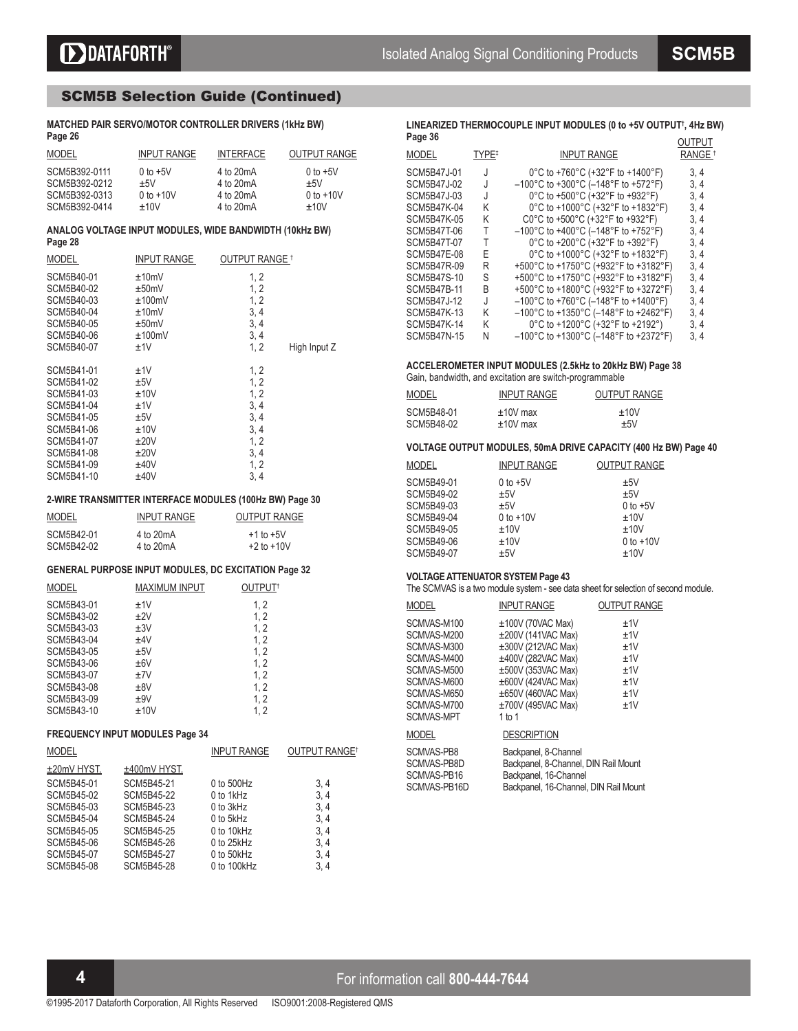#### **MATCHED PAIR SERVO/MOTOR CONTROLLER DRIVERS (1kHz BW) Page 26**

| MODEL         | <b>INPUT RANGE</b> | <b>INTERFACE</b> | <b>OUTPUT RANGE</b> |
|---------------|--------------------|------------------|---------------------|
| SCM5B392-0111 | $0$ to $+5V$       | 4 to 20mA        | $0$ to $+5V$        |
| SCM5B392-0212 | $+5V$              | 4 to 20mA        | $+5V$               |
| SCM5B392-0313 | $0$ to $+10V$      | 4 to 20mA        | $0$ to $+10V$       |
| SCM5B392-0414 | $+10V$             | 4 to 20mA        | $+10V$              |

#### **ANALOG VOLTAGE INPUT MODULES, WIDE BANDWIDTH (10kHz BW) Page 28**

| MODEL      | <b>INPUT RANGE</b> | OUTPUT RANGE <sup>T</sup> |  |
|------------|--------------------|---------------------------|--|
| SCM5B40-01 | ±10mV              | 1, 2                      |  |
| SCM5B40-02 | ±50mV              | 1, 2                      |  |
| SCM5B40-03 | ±100mV             | 1, 2                      |  |
| SCM5B40-04 | ±10mV              | 3, 4                      |  |
| SCM5B40-05 | ±50mV              | 3, 4                      |  |
| SCM5B40-06 | ±100mV             | 3, 4                      |  |
| SCM5B40-07 | ±1V                | 1, 2<br>High Input Z      |  |
| SCM5B41-01 | ±1V                | 1, 2                      |  |
| SCM5B41-02 | ±5V                | 1, 2                      |  |
| SCM5B41-03 | ±10V               | 1, 2                      |  |
| SCM5B41-04 | ±1V                | 3, 4                      |  |
| SCM5B41-05 | ±5V                | 3, 4                      |  |
| SCM5B41-06 | ±10V               | 3, 4                      |  |
| SCM5B41-07 | ±20V               | 1, 2                      |  |
| SCM5B41-08 | ±20V               | 3, 4                      |  |
| SCM5B41-09 | ±40V               | 1, 2                      |  |
| SCM5B41-10 | ±40V               | 3, 4                      |  |

### **2-WIRE TRANSMITTER INTERFACE MODULES (100Hz BW) Page 30**

| <b>MODEL</b> | <b>INPUT RANGE</b> | <b>OUTPUT RANGE</b> |
|--------------|--------------------|---------------------|
| SCM5B42-01   | 4 to 20mA          | $+1$ to $+5V$       |
| SCM5B42-02   | 4 to 20mA          | $+2$ to $+10V$      |

### **GENERAL PURPOSE INPUT MODULES, DC EXCITATION Page 32**

| <b>MODEL</b> | <b>MAXIMUM INPUT</b> | OUTPUT <sup>+</sup> |
|--------------|----------------------|---------------------|
| SCM5B43-01   | ±1V                  | 1, 2                |
| SCM5B43-02   | ±2V                  | 1, 2                |
| SCM5B43-03   | ±3V                  | 1, 2                |
| SCM5B43-04   | ±4V                  | 1, 2                |
| SCM5B43-05   | ±5V                  | 1.2                 |
| SCM5B43-06   | ±6V                  | 1, 2                |
| SCM5B43-07   | ±7V                  | 1, 2                |
| SCM5B43-08   | ±8V                  | 1, 2                |
| SCM5B43-09   | ±9V                  | 1, 2                |
| SCM5B43-10   | ±10V                 | 1.2                 |

#### **FREQUENCY INPUT MODULES Page 34**

| <b>MODEL</b>  |              | <b>INPUT RANGE</b> | OUTPUT RANGE <sup>+</sup> |
|---------------|--------------|--------------------|---------------------------|
| $±20mV$ HYST. | ±400mV HYST. |                    |                           |
| SCM5B45-01    | SCM5B45-21   | 0 to 500Hz         | 3, 4                      |
| SCM5B45-02    | SCM5B45-22   | 0 to 1kHz          | 3, 4                      |
| SCM5B45-03    | SCM5B45-23   | $0$ to $3$ kHz     | 3, 4                      |
| SCM5B45-04    | SCM5B45-24   | 0 to 5kHz          | 3.4                       |
| SCM5B45-05    | SCM5B45-25   | 0 to 10kHz         | 3, 4                      |
| SCM5B45-06    | SCM5B45-26   | $0$ to $25$ kHz    | 3, 4                      |
| SCM5B45-07    | SCM5B45-27   | $0$ to $50$ kHz    | 3.4                       |
| SCM5B45-08    | SCM5B45-28   | 0 to 100kHz        | 3.4                       |
|               |              |                    |                           |

**LINEARIZED THERMOCOUPLE INPUT MODULES (0 to +5V OUTPUT† , 4Hz BW)**

| Page 36     |                   |                                                                                  | OUTPUT             |
|-------------|-------------------|----------------------------------------------------------------------------------|--------------------|
| MODEL       | TYPE <sup>#</sup> | <b>INPUT RANGE</b>                                                               | RANGE <sup>+</sup> |
| SCM5B47J-01 | J                 | 0°C to +760°C (+32°F to +1400°F)                                                 | 3, 4               |
| SCM5B47J-02 | J                 | $-100^{\circ}$ C to +300 $^{\circ}$ C (-148 $^{\circ}$ F to +572 $^{\circ}$ F)   | 3, 4               |
| SCM5B47J-03 | J                 | 0°C to +500°C (+32°F to +932°F)                                                  | 3, 4               |
| SCM5B47K-04 | Κ                 | 0°C to +1000°C (+32°F to +1832°F)                                                | 3, 4               |
| SCM5B47K-05 | Κ                 | C0 $\degree$ C to +500 $\degree$ C (+32 $\degree$ F to +932 $\degree$ F)         | 3, 4               |
| SCM5B47T-06 | Τ                 | $-100^{\circ}$ C to +400 $^{\circ}$ C (-148 $^{\circ}$ F to +752 $^{\circ}$ F)   | 3, 4               |
| SCM5B47T-07 | Τ                 | 0°C to +200°C (+32°F to +392°F)                                                  | 3, 4               |
| SCM5B47E-08 | F                 | 0°C to +1000°C (+32°F to +1832°F)                                                | 3, 4               |
| SCM5B47R-09 | R                 | +500°C to +1750°C (+932°F to +3182°F)                                            | 3, 4               |
| SCM5B47S-10 | S                 | +500°C to +1750°C (+932°F to +3182°F)                                            | 3, 4               |
| SCM5B47B-11 | B                 | +500°C to +1800°C (+932°F to +3272°F)                                            | 3, 4               |
| SCM5B47J-12 | J                 | $-100^{\circ}$ C to +760 $^{\circ}$ C (-148 $^{\circ}$ F to +1400 $^{\circ}$ F)  | 3, 4               |
| SCM5B47K-13 | Κ                 | $-100^{\circ}$ C to +1350 $^{\circ}$ C (-148 $^{\circ}$ F to +2462 $^{\circ}$ F) | 3, 4               |
| SCM5B47K-14 | Κ                 | 0°C to +1200°C (+32°F to +2192°)                                                 | 3, 4               |
| SCM5B47N-15 | N                 | $-100^{\circ}$ C to +1300 $^{\circ}$ C (-148 $^{\circ}$ F to +2372 $^{\circ}$ F) | 3, 4               |
|             |                   |                                                                                  |                    |

# **ACCELEROMETER INPUT MODULES (2.5kHz to 20kHz BW) Page 38**

Gain, bandwidth, and excitation are switch-programmable

| MODEL      | <b>INPUT RANGE</b> | <b>OUTPUT RANGE</b> |
|------------|--------------------|---------------------|
| SCM5B48-01 | $±10V$ max         | $+10V$              |
| SCM5B48-02 | $±10V$ max         | $+5V$               |

### **VOLTAGE OUTPUT MODULES, 50mA DRIVE CAPACITY (400 Hz BW) Page 40**

| <b>MODEL</b>                                                                                   | <b>INPUT RANGE</b>                                                     | <b>OUTPUT RANGE</b>                                                 |
|------------------------------------------------------------------------------------------------|------------------------------------------------------------------------|---------------------------------------------------------------------|
| SCM5B49-01<br>SCM5B49-02<br>SCM5B49-03<br>SCM5B49-04<br>SCM5B49-05<br>SCM5B49-06<br>SCM5B49-07 | $0$ to $+5V$<br>$+5V$<br>±5V<br>$0$ to $+10V$<br>±10V<br>±10V<br>$+5V$ | ±5V<br>±5V<br>$0$ to $+5V$<br>±10V<br>±10V<br>$0$ to $+10V$<br>±10V |
|                                                                                                |                                                                        |                                                                     |

#### **VOLTAGE ATTENUATOR SYSTEM Page 43**

The SCMVAS is a two module system - see data sheet for selection of second module.

| MODEL                                                                                                                                     | <b>INPUT RANGE</b>                                                                                                                                                                                                    | <b>OUTPUT RANGE</b>                                  |
|-------------------------------------------------------------------------------------------------------------------------------------------|-----------------------------------------------------------------------------------------------------------------------------------------------------------------------------------------------------------------------|------------------------------------------------------|
| SCMVAS-M100<br>SCMVAS-M200<br>SCMVAS-M300<br>SCMVAS-M400<br>SCMVAS-M500<br>SCMVAS-M600<br>SCMVAS-M650<br>SCMVAS-M700<br><b>SCMVAS-MPT</b> | $±100V$ (70VAC Max)<br>$\pm 200V$ (141VAC Max)<br>$\pm 300V$ (212VAC Max)<br>$\pm 400V$ (282VAC Max)<br>±500V (353VAC Max)<br>$\pm 600V$ (424VAC Max)<br>$\pm 650V$ (460VAC Max)<br>$\pm$ 700V (495VAC Max)<br>1 to 1 | ±1V<br>±1V<br>±1V<br>±1V<br>±1V<br>±1V<br>±1V<br>±1V |
| MODEL                                                                                                                                     | <b>DESCRIPTION</b>                                                                                                                                                                                                    |                                                      |
| SCMVAS-PB8<br>SCMVAS-PB8D<br>SCMVAS-PB16<br>SCMVAS-PR16D                                                                                  | Backpanel, 8-Channel<br>Backpanel, 8-Channel, DIN Rail Mount<br>Backpanel, 16-Channel<br>Backnanel 16-Channel DIN Rail Mount                                                                                          |                                                      |